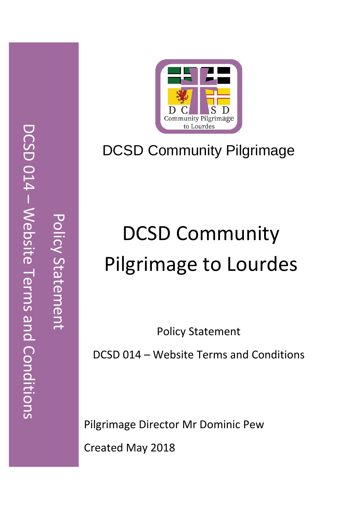

# DCSD Community Pilgrimage

# DCSD Community Pilgrimage to Lourdes

Policy Statement

DCSD 014 – Website Terms and Conditions

Pilgrimage Director Mr Dominic Pew

Created May 2018

Policy Statement

Policy Statemen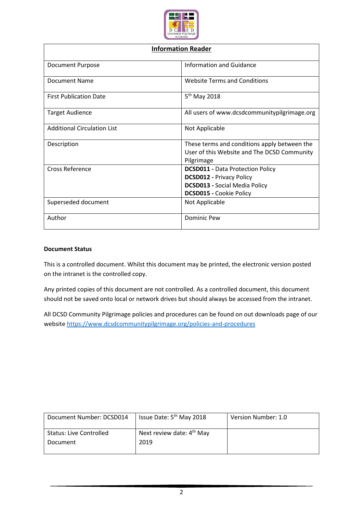

| <b>Information Reader</b>          |                                                                                                                                                      |  |
|------------------------------------|------------------------------------------------------------------------------------------------------------------------------------------------------|--|
| <b>Document Purpose</b>            | <b>Information and Guidance</b>                                                                                                                      |  |
| <b>Document Name</b>               | <b>Website Terms and Conditions</b>                                                                                                                  |  |
| <b>First Publication Date</b>      | 5 <sup>th</sup> May 2018                                                                                                                             |  |
| <b>Target Audience</b>             | All users of www.dcsdcommunitypilgrimage.org                                                                                                         |  |
| <b>Additional Circulation List</b> | Not Applicable                                                                                                                                       |  |
| Description                        | These terms and conditions apply between the<br>User of this Website and The DCSD Community<br>Pilgrimage                                            |  |
| Cross Reference                    | <b>DCSD011 - Data Protection Policy</b><br><b>DCSD012 - Privacy Policy</b><br><b>DCSD013 - Social Media Policy</b><br><b>DCSD015 - Cookie Policy</b> |  |
| Superseded document                | Not Applicable                                                                                                                                       |  |
| Author                             | <b>Dominic Pew</b>                                                                                                                                   |  |

#### **Document Status**

This is a controlled document. Whilst this document may be printed, the electronic version posted on the intranet is the controlled copy.

Any printed copies of this document are not controlled. As a controlled document, this document should not be saved onto local or network drives but should always be accessed from the intranet.

All DCSD Community Pilgrimage policies and procedures can be found on out downloads page of our websit[e https://www.dcsdcommunitypilgrimage.org/policies-and-procedures](https://www.dcsdcommunitypilgrimage.org/policies-and-procedures)

| Document Number: DCSD014       | Issue Date: 5 <sup>th</sup> May 2018  | Version Number: 1.0 |
|--------------------------------|---------------------------------------|---------------------|
| <b>Status: Live Controlled</b> | Next review date: 4 <sup>th</sup> May |                     |
| Document                       | 2019                                  |                     |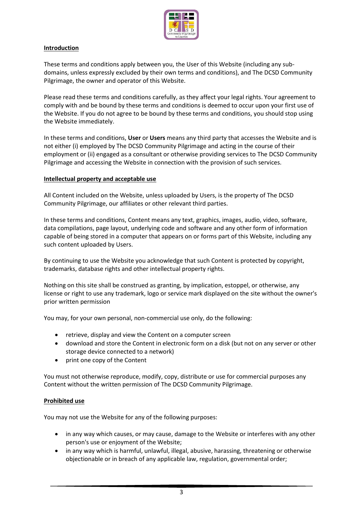

## **Introduction**

These terms and conditions apply between you, the User of this Website (including any subdomains, unless expressly excluded by their own terms and conditions), and The DCSD Community Pilgrimage, the owner and operator of this Website.

Please read these terms and conditions carefully, as they affect your legal rights. Your agreement to comply with and be bound by these terms and conditions is deemed to occur upon your first use of the Website. If you do not agree to be bound by these terms and conditions, you should stop using the Website immediately.

In these terms and conditions, **User** or **Users** means any third party that accesses the Website and is not either (i) employed by The DCSD Community Pilgrimage and acting in the course of their employment or (ii) engaged as a consultant or otherwise providing services to The DCSD Community Pilgrimage and accessing the Website in connection with the provision of such services.

# **Intellectual property and acceptable use**

All Content included on the Website, unless uploaded by Users, is the property of The DCSD Community Pilgrimage, our affiliates or other relevant third parties.

In these terms and conditions, Content means any text, graphics, images, audio, video, software, data compilations, page layout, underlying code and software and any other form of information capable of being stored in a computer that appears on or forms part of this Website, including any such content uploaded by Users.

By continuing to use the Website you acknowledge that such Content is protected by copyright, trademarks, database rights and other intellectual property rights.

Nothing on this site shall be construed as granting, by implication, estoppel, or otherwise, any license or right to use any trademark, logo or service mark displayed on the site without the owner's prior written permission

You may, for your own personal, non-commercial use only, do the following:

- retrieve, display and view the Content on a computer screen
- download and store the Content in electronic form on a disk (but not on any server or other storage device connected to a network)
- print one copy of the Content

You must not otherwise reproduce, modify, copy, distribute or use for commercial purposes any Content without the written permission of The DCSD Community Pilgrimage.

## **Prohibited use**

You may not use the Website for any of the following purposes:

- in any way which causes, or may cause, damage to the Website or interferes with any other person's use or enjoyment of the Website;
- in any way which is harmful, unlawful, illegal, abusive, harassing, threatening or otherwise objectionable or in breach of any applicable law, regulation, governmental order;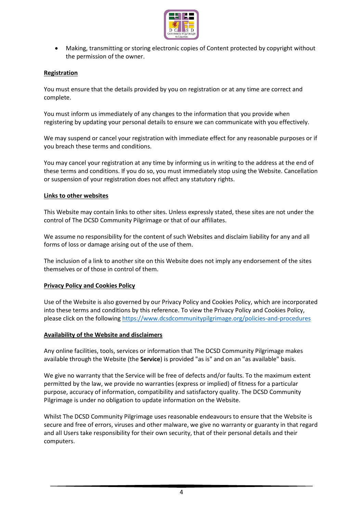

 Making, transmitting or storing electronic copies of Content protected by copyright without the permission of the owner.

#### **Registration**

You must ensure that the details provided by you on registration or at any time are correct and complete.

You must inform us immediately of any changes to the information that you provide when registering by updating your personal details to ensure we can communicate with you effectively.

We may suspend or cancel your registration with immediate effect for any reasonable purposes or if you breach these terms and conditions.

You may cancel your registration at any time by informing us in writing to the address at the end of these terms and conditions. If you do so, you must immediately stop using the Website. Cancellation or suspension of your registration does not affect any statutory rights.

#### **Links to other websites**

This Website may contain links to other sites. Unless expressly stated, these sites are not under the control of The DCSD Community Pilgrimage or that of our affiliates.

We assume no responsibility for the content of such Websites and disclaim liability for any and all forms of loss or damage arising out of the use of them.

The inclusion of a link to another site on this Website does not imply any endorsement of the sites themselves or of those in control of them.

#### **Privacy Policy and Cookies Policy**

Use of the Website is also governed by our Privacy Policy and Cookies Policy, which are incorporated into these terms and conditions by this reference. To view the Privacy Policy and Cookies Policy, please click on the following <https://www.dcsdcommunitypilgrimage.org/policies-and-procedures>

#### **Availability of the Website and disclaimers**

Any online facilities, tools, services or information that The DCSD Community Pilgrimage makes available through the Website (the **Service**) is provided "as is" and on an "as available" basis.

We give no warranty that the Service will be free of defects and/or faults. To the maximum extent permitted by the law, we provide no warranties (express or implied) of fitness for a particular purpose, accuracy of information, compatibility and satisfactory quality. The DCSD Community Pilgrimage is under no obligation to update information on the Website.

Whilst The DCSD Community Pilgrimage uses reasonable endeavours to ensure that the Website is secure and free of errors, viruses and other malware, we give no warranty or guaranty in that regard and all Users take responsibility for their own security, that of their personal details and their computers.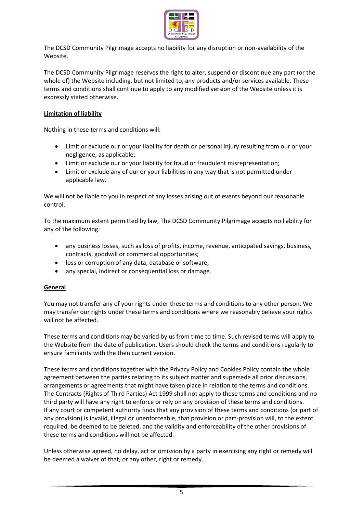

The DCSD Community Pilgrimage accepts no liability for any disruption or non-availability of the Website.

The DCSD Community Pilgrimage reserves the right to alter, suspend or discontinue any part (or the whole of) the Website including, but not limited to, any products and/or services available. These terms and conditions shall continue to apply to any modified version of the Website unless it is expressly stated otherwise.

# **Limitation of liability**

Nothing in these terms and conditions will:

- Limit or exclude our or your liability for death or personal injury resulting from our or your negligence, as applicable;
- Limit or exclude our or your liability for fraud or fraudulent misrepresentation;
- Limit or exclude any of our or your liabilities in any way that is not permitted under applicable law.

We will not be liable to you in respect of any losses arising out of events beyond our reasonable control.

To the maximum extent permitted by law, The DCSD Community Pilgrimage accepts no liability for any of the following:

- any business losses, such as loss of profits, income, revenue, anticipated savings, business, contracts, goodwill or commercial opportunities;
- loss or corruption of any data, database or software;
- any special, indirect or consequential loss or damage.

## **General**

You may not transfer any of your rights under these terms and conditions to any other person. We may transfer our rights under these terms and conditions where we reasonably believe your rights will not be affected.

These terms and conditions may be varied by us from time to time. Such revised terms will apply to the Website from the date of publication. Users should check the terms and conditions regularly to ensure familiarity with the then current version.

These terms and conditions together with the Privacy Policy and Cookies Policy contain the whole agreement between the parties relating to its subject matter and supersede all prior discussions, arrangements or agreements that might have taken place in relation to the terms and conditions. The Contracts (Rights of Third Parties) Act 1999 shall not apply to these terms and conditions and no third party will have any right to enforce or rely on any provision of these terms and conditions. If any court or competent authority finds that any provision of these terms and conditions (or part of any provision) is invalid, illegal or unenforceable, that provision or part-provision will, to the extent required, be deemed to be deleted, and the validity and enforceability of the other provisions of these terms and conditions will not be affected.

Unless otherwise agreed, no delay, act or omission by a party in exercising any right or remedy will be deemed a waiver of that, or any other, right or remedy.